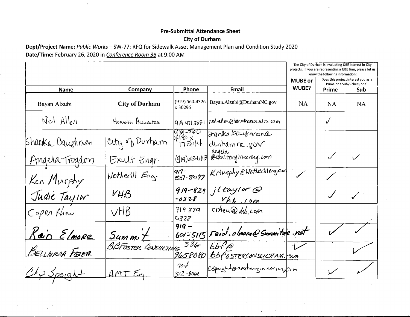## **Pre-Submittal Attendance Sheet City of Durham**

Dept/Project Name: Public Works - SW-77: RFQ for Sidewalk Asset Management Plan and Condition Study 2020 Date/Time: February 26, 2020 in Conference Room 3B at 9:00 AM

 $\hat{\mathbf{v}}$ 

|                    |                         |                                       |                                           | The City of Durham is evaluating UBE interest in City<br>projects. If you are representing a UBE firm, please let us<br>know the following information: |           |           |
|--------------------|-------------------------|---------------------------------------|-------------------------------------------|---------------------------------------------------------------------------------------------------------------------------------------------------------|-----------|-----------|
|                    |                         |                                       |                                           | Does this project interest you as a<br><b>MUBE or</b><br>Prime or a Sub? (check one)                                                                    |           |           |
| <b>Name</b>        | Company                 | Phone                                 | <b>Email</b>                              | WUBE?                                                                                                                                                   | Prime     | Sub       |
| Bayan Alzubi       | <b>City of Durham</b>   | $(919) 560 - 4326$<br>x 30296         | Bayan.Alzubi@DurhamNC.gov                 | <b>NA</b>                                                                                                                                               | <b>NA</b> | <b>NA</b> |
| Neil Allen         | Honath Associates       | 9194713581                            | neil allen @honothussociates.com          |                                                                                                                                                         | $\sqrt{}$ |           |
| Shanka Baughman    | cuty of Durham          | <u> ऐra -560</u><br>4180 x<br>  17244 | Shanika.baughmane<br><u>durhamne gov</u>  |                                                                                                                                                         |           |           |
| Angela Trogdon     | Exult Engr.             | (919)602-6113                         | angela<br>@exuitengineening.com           |                                                                                                                                                         |           |           |
| <u>Ken Musphy</u>  | Wetherill Eng.          | 9) 9 -<br>  B5  -807)                 | KMurphy @Wethedlleng.com                  |                                                                                                                                                         |           |           |
| Judie Taylor       | $V H \mathcal{B}$       | $919 - 829$<br>$-0328$                | jltaylor@<br>$Vhh$ . com                  |                                                                                                                                                         |           |           |
| Capen Khew         | VHS                     | 919829<br>032F                        | crhew@vhb.com                             |                                                                                                                                                         |           |           |
| <u>Keis Elmore</u> | $Summ +$                | $919 -$                               | 601-5115 Feicl. elmone@ Summitale.net     |                                                                                                                                                         |           |           |
| BELLINDEA FETER    | BBFOSTER CONSULTING 336 | 9658080                               | $bbf$ p<br><b>BBFBSTERCONSULTING.</b> COM |                                                                                                                                                         |           |           |
| Chip Speight       | AMT                     | $70\sqrt{l}$<br>$322 - 8066$          | Cspeightoartementeringsform               |                                                                                                                                                         |           |           |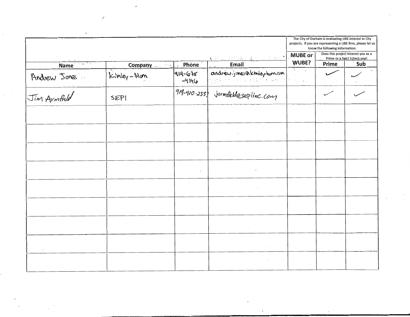|              |            |                                 |                                           | The City of Durham is evaluating UBE interest in City<br>projects. If you are representing a UBE firm, please let us<br>know the following information: |                                                                                    |  |
|--------------|------------|---------------------------------|-------------------------------------------|---------------------------------------------------------------------------------------------------------------------------------------------------------|------------------------------------------------------------------------------------|--|
|              |            | Phone                           | Contact the Communication<br>Email        | MUBE or<br>WUBE?                                                                                                                                        | Does this project interest you as a<br>Prime or a Sub? (check one)<br>Prime<br>Sub |  |
| Name         | Company    | $\ddot{\phantom{1}}$<br>919-678 | andrewing ones on kimiley-ham.com         | $\overline{A}$ and $\overline{A}$ and $\overline{A}$                                                                                                    |                                                                                    |  |
|              | Kimley-Ham | $-4146$                         | Carl P. C. Company and the Company        | $\epsilon \rightarrow \omega \rightarrow \gamma \gamma$                                                                                                 |                                                                                    |  |
| Andrew Jones | SEPI       |                                 | $719 - 410 - 233$ , jarmfield@sepiinc.com |                                                                                                                                                         |                                                                                    |  |
|              |            |                                 |                                           |                                                                                                                                                         |                                                                                    |  |
|              |            |                                 |                                           |                                                                                                                                                         |                                                                                    |  |
|              |            |                                 |                                           |                                                                                                                                                         |                                                                                    |  |
|              |            | $\mathbf{r}$                    |                                           |                                                                                                                                                         |                                                                                    |  |
|              |            | $\sim$                          |                                           |                                                                                                                                                         |                                                                                    |  |
|              |            |                                 |                                           |                                                                                                                                                         |                                                                                    |  |
|              |            |                                 |                                           |                                                                                                                                                         |                                                                                    |  |
|              |            |                                 |                                           |                                                                                                                                                         |                                                                                    |  |
|              |            |                                 |                                           |                                                                                                                                                         |                                                                                    |  |

 $\hat{\phantom{a}}$ 

 $\overline{\mathcal{L}}$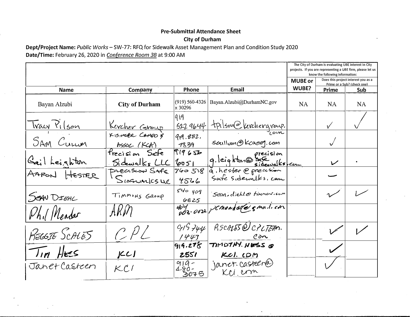## **Pre-Submittal Attendance Sheet**

## **City of Durham**

## Dept/Project Name: Public Works - SW-77: RFQ for Sidewalk Asset Management Plan and Condition Study 2020 Date/Time: February 26, 2020 in Conference Room 3B at 9:00 AM

|                     |                                  |                             |                                        | The City of Durham is evaluating UBE interest in City<br>projects. If you are representing a UBE firm, please let us<br>know the following information: |                          |                                                                    |
|---------------------|----------------------------------|-----------------------------|----------------------------------------|---------------------------------------------------------------------------------------------------------------------------------------------------------|--------------------------|--------------------------------------------------------------------|
|                     |                                  |                             |                                        | <b>MUBE or</b>                                                                                                                                          |                          | Does this project interest you as a<br>Prime or a Sub? (check one) |
| <b>Name</b>         | Company                          | <b>Phone</b>                | <b>Email</b>                           | WUBE?                                                                                                                                                   | Prime                    | Sub                                                                |
| Bayan Alzubi        | <b>City of Durham</b>            | $(919)$ 560-4326<br>x 30296 | Bayan.Alzubi@DurhamNC.gov              | <b>NA</b>                                                                                                                                               | <b>NA</b>                | <b>NA</b>                                                          |
| <u>Tracy Pilson</u> | <u>Kercher Caroup</u>            | 1919<br>5229644             | tpilson@kerchergroup.                  |                                                                                                                                                         |                          |                                                                    |
| SAM Curren          | KISINGER CAMPO &<br>ASSOC. (KCA) | 919.882.<br>1839            | Scallom@Kcaeng.com                     |                                                                                                                                                         |                          |                                                                    |
| Gail Leighton       | frecision Sefe<br>Sidewalks LLC  | 9465<br>2651                | precision<br>9. leighton@sidewalks.com |                                                                                                                                                         | $\overline{\mathscr{L}}$ |                                                                    |
| AARON<br>$H$ ESTER  | PRECISION SAFE<br>SIGGWALKSLIE   | 760518<br>4526              | à, hester @ precision                  |                                                                                                                                                         |                          |                                                                    |
| SEAN DIEHL          | TIMMONS GROUP                    | $540 \ y09$<br>6825         | Sean, dieble timmons.com               |                                                                                                                                                         |                          |                                                                    |
| Phil Meadar         | ARM                              |                             |                                        |                                                                                                                                                         |                          |                                                                    |
| REGGIE SCALES       | CPL                              | 915744<br>1443              | RSCM55@CPLTEAN.<br>$\ell$ <i>on</i>    |                                                                                                                                                         |                          |                                                                    |
| $T_{III}$ HES       | ICI                              | 914.278<br>2551             | TIMDTHY. NESS @<br><u>KCI. COM</u>     |                                                                                                                                                         |                          |                                                                    |
| Janet Casteen       | $\mathcal{K}$ l'                 | $919-$<br>180-<br>3075      | janet casteer@                         |                                                                                                                                                         |                          |                                                                    |